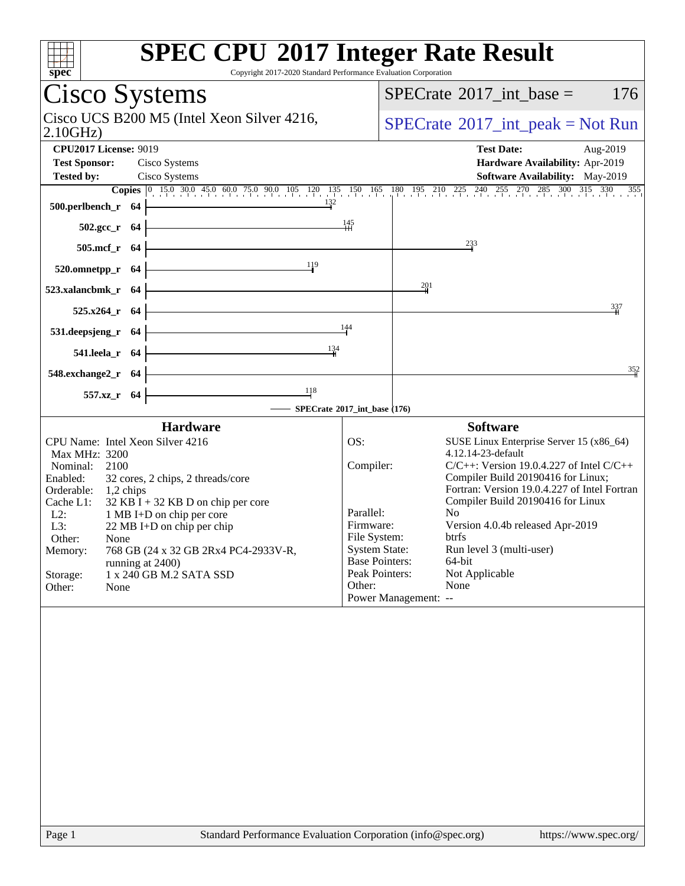| <b>SPEC CPU®2017 Integer Rate Result</b><br>Spec<br>Copyright 2017-2020 Standard Performance Evaluation Corporation |                                      |                                                                                                                   |
|---------------------------------------------------------------------------------------------------------------------|--------------------------------------|-------------------------------------------------------------------------------------------------------------------|
| Cisco Systems                                                                                                       |                                      | $SPECrate^{\circledast}2017\_int\_base =$<br>176                                                                  |
| Cisco UCS B200 M5 (Intel Xeon Silver 4216,<br>2.10GHz                                                               |                                      | $SPECrate^{\circledcirc}2017\_int\_peak = Not Run$                                                                |
| <b>CPU2017 License: 9019</b>                                                                                        |                                      | <b>Test Date:</b><br>Aug-2019                                                                                     |
| <b>Test Sponsor:</b><br>Cisco Systems                                                                               |                                      | Hardware Availability: Apr-2019                                                                                   |
| <b>Tested by:</b><br>Cisco Systems                                                                                  |                                      | Software Availability: May-2019                                                                                   |
| 132                                                                                                                 |                                      | <b>Copies</b> 0 15.0 30.0 45.0 60.0 75.0 90.0 105 120 135 150 165 180 195 210 225 240 255 270 285 300 315 330 355 |
| 500.perlbench_r 64                                                                                                  |                                      |                                                                                                                   |
| $502.\text{gcc}_r$ 64                                                                                               | $\frac{145}{11}$                     |                                                                                                                   |
| 505.mcf_r 64                                                                                                        |                                      | $^{233}$                                                                                                          |
| 119<br>520.omnetpp_r 64                                                                                             |                                      |                                                                                                                   |
| 523.xalancbmk_r 64                                                                                                  |                                      | 201                                                                                                               |
| 525.x264_r 64                                                                                                       |                                      | 337                                                                                                               |
| 531.deepsjeng_r 64                                                                                                  | 144                                  |                                                                                                                   |
| 134<br>541.leela_r 64                                                                                               |                                      |                                                                                                                   |
| 548.exchange2_r 64                                                                                                  |                                      | 352                                                                                                               |
| 118<br>557.xz_r 64                                                                                                  |                                      |                                                                                                                   |
|                                                                                                                     | SPECrate®2017_int_base (176)         |                                                                                                                   |
| <b>Hardware</b>                                                                                                     |                                      | <b>Software</b>                                                                                                   |
| CPU Name: Intel Xeon Silver 4216<br>Max MHz: 3200                                                                   | OS:                                  | SUSE Linux Enterprise Server 15 (x86_64)<br>4.12.14-23-default                                                    |
| Nominal:<br>2100                                                                                                    | Compiler:                            | $C/C++$ : Version 19.0.4.227 of Intel $C/C++$                                                                     |
| Enabled:<br>32 cores, 2 chips, 2 threads/core                                                                       |                                      | Compiler Build 20190416 for Linux;                                                                                |
| Orderable:<br>1,2 chips<br>Cache L1:<br>$32$ KB I + 32 KB D on chip per core                                        |                                      | Fortran: Version 19.0.4.227 of Intel Fortran<br>Compiler Build 20190416 for Linux                                 |
| $L2$ :<br>1 MB I+D on chip per core                                                                                 | Parallel:                            | No                                                                                                                |
| L3:<br>22 MB I+D on chip per chip                                                                                   | Firmware:                            | Version 4.0.4b released Apr-2019                                                                                  |
| Other:<br>None<br>768 GB (24 x 32 GB 2Rx4 PC4-2933V-R,                                                              | File System:<br><b>System State:</b> | btrfs<br>Run level 3 (multi-user)                                                                                 |
| Memory:<br>running at 2400)                                                                                         | <b>Base Pointers:</b>                | 64-bit                                                                                                            |
| 1 x 240 GB M.2 SATA SSD<br>Storage:                                                                                 | Peak Pointers:                       | Not Applicable                                                                                                    |
| Other:<br>None                                                                                                      | Other:                               | None<br>Power Management: --                                                                                      |
|                                                                                                                     |                                      |                                                                                                                   |
|                                                                                                                     |                                      |                                                                                                                   |
|                                                                                                                     |                                      |                                                                                                                   |
|                                                                                                                     |                                      |                                                                                                                   |
|                                                                                                                     |                                      |                                                                                                                   |
|                                                                                                                     |                                      |                                                                                                                   |
|                                                                                                                     |                                      |                                                                                                                   |
|                                                                                                                     |                                      |                                                                                                                   |
|                                                                                                                     |                                      |                                                                                                                   |
|                                                                                                                     |                                      |                                                                                                                   |
|                                                                                                                     |                                      |                                                                                                                   |
|                                                                                                                     |                                      |                                                                                                                   |
|                                                                                                                     |                                      |                                                                                                                   |
|                                                                                                                     |                                      |                                                                                                                   |
| Page 1<br>Standard Performance Evaluation Corporation (info@spec.org)                                               |                                      | https://www.spec.org/                                                                                             |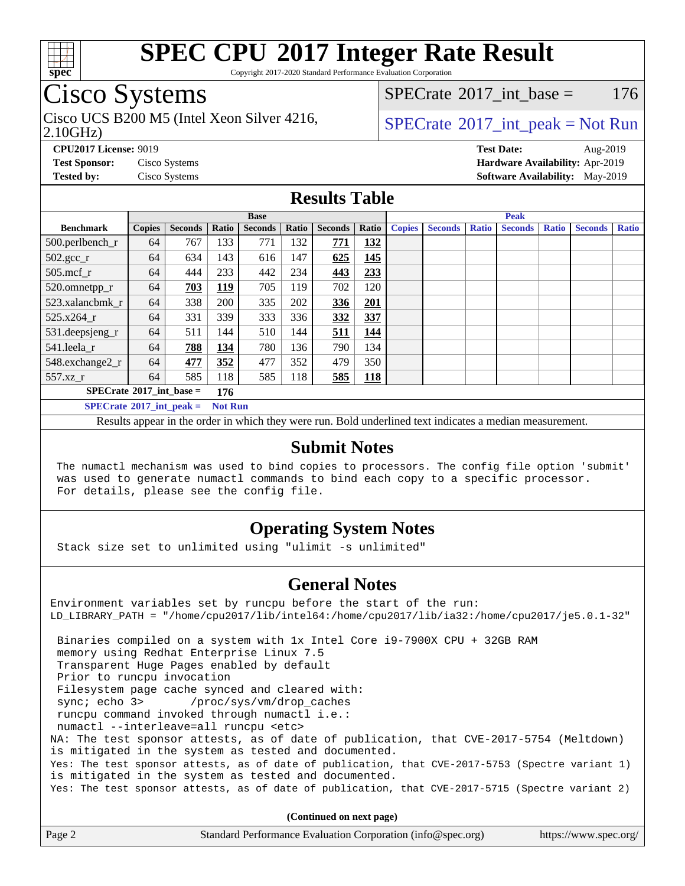

Copyright 2017-2020 Standard Performance Evaluation Corporation

### Cisco Systems

2.10GHz) Cisco UCS B200 M5 (Intel Xeon Silver 4216,  $SPECrate^{\circ}2017\_int\_peak = Not Run$  $SPECrate^{\circ}2017\_int\_peak = Not Run$ 

[SPECrate](http://www.spec.org/auto/cpu2017/Docs/result-fields.html#SPECrate2017intbase)<sup>®</sup>2017 int base = 176

**[CPU2017 License:](http://www.spec.org/auto/cpu2017/Docs/result-fields.html#CPU2017License)** 9019 **[Test Date:](http://www.spec.org/auto/cpu2017/Docs/result-fields.html#TestDate)** Aug-2019 **[Test Sponsor:](http://www.spec.org/auto/cpu2017/Docs/result-fields.html#TestSponsor)** Cisco Systems **[Hardware Availability:](http://www.spec.org/auto/cpu2017/Docs/result-fields.html#HardwareAvailability)** Apr-2019 **[Tested by:](http://www.spec.org/auto/cpu2017/Docs/result-fields.html#Testedby)** Cisco Systems **[Software Availability:](http://www.spec.org/auto/cpu2017/Docs/result-fields.html#SoftwareAvailability)** May-2019

#### **[Results Table](http://www.spec.org/auto/cpu2017/Docs/result-fields.html#ResultsTable)**

|                                                     | <b>Base</b>   |                |            |                |       | <b>Peak</b>    |       |               |                |              |                |              |                |              |
|-----------------------------------------------------|---------------|----------------|------------|----------------|-------|----------------|-------|---------------|----------------|--------------|----------------|--------------|----------------|--------------|
| <b>Benchmark</b>                                    | <b>Copies</b> | <b>Seconds</b> | Ratio      | <b>Seconds</b> | Ratio | <b>Seconds</b> | Ratio | <b>Copies</b> | <b>Seconds</b> | <b>Ratio</b> | <b>Seconds</b> | <b>Ratio</b> | <b>Seconds</b> | <b>Ratio</b> |
| 500.perlbench_r                                     | 64            | 767            | 133        | 771            | 132   | 771            | 132   |               |                |              |                |              |                |              |
| $502.\text{sec}\text{\_r}$                          | 64            | 634            | 143        | 616            | 147   | 625            | 145   |               |                |              |                |              |                |              |
| $505$ .mcf r                                        | 64            | 444            | 233        | 442            | 234   | 443            | 233   |               |                |              |                |              |                |              |
| 520.omnetpp_r                                       | 64            | 703            | <u>119</u> | 705            | 119   | 702            | 120   |               |                |              |                |              |                |              |
| 523.xalancbmk r                                     | 64            | 338            | 200        | 335            | 202   | 336            | 201   |               |                |              |                |              |                |              |
| 525.x264 r                                          | 64            | 331            | 339        | 333            | 336   | 332            | 337   |               |                |              |                |              |                |              |
| 531.deepsjeng_r                                     | 64            | 511            | 144        | 510            | 144   | 511            | 144   |               |                |              |                |              |                |              |
| 541.leela r                                         | 64            | 788            | 134        | 780            | 136   | 790            | 134   |               |                |              |                |              |                |              |
| 548.exchange2_r                                     | 64            | 477            | 352        | 477            | 352   | 479            | 350   |               |                |              |                |              |                |              |
| 557.xz r                                            | 64            | 585            | 118        | 585            | 118   | 585            | 118   |               |                |              |                |              |                |              |
| $SPECrate^{\circ}2017$ int base =                   |               |                | 176        |                |       |                |       |               |                |              |                |              |                |              |
| $SPECrate^{\circ}2017$ int peak =<br><b>Not Run</b> |               |                |            |                |       |                |       |               |                |              |                |              |                |              |

Results appear in the [order in which they were run](http://www.spec.org/auto/cpu2017/Docs/result-fields.html#RunOrder). Bold underlined text [indicates a median measurement](http://www.spec.org/auto/cpu2017/Docs/result-fields.html#Median).

#### **[Submit Notes](http://www.spec.org/auto/cpu2017/Docs/result-fields.html#SubmitNotes)**

 The numactl mechanism was used to bind copies to processors. The config file option 'submit' was used to generate numactl commands to bind each copy to a specific processor. For details, please see the config file.

### **[Operating System Notes](http://www.spec.org/auto/cpu2017/Docs/result-fields.html#OperatingSystemNotes)**

Stack size set to unlimited using "ulimit -s unlimited"

#### **[General Notes](http://www.spec.org/auto/cpu2017/Docs/result-fields.html#GeneralNotes)**

Environment variables set by runcpu before the start of the run: LD\_LIBRARY\_PATH = "/home/cpu2017/lib/intel64:/home/cpu2017/lib/ia32:/home/cpu2017/je5.0.1-32" Binaries compiled on a system with 1x Intel Core i9-7900X CPU + 32GB RAM memory using Redhat Enterprise Linux 7.5 Transparent Huge Pages enabled by default Prior to runcpu invocation Filesystem page cache synced and cleared with: sync; echo 3> /proc/sys/vm/drop\_caches runcpu command invoked through numactl i.e.: numactl --interleave=all runcpu <etc> NA: The test sponsor attests, as of date of publication, that CVE-2017-5754 (Meltdown) is mitigated in the system as tested and documented. Yes: The test sponsor attests, as of date of publication, that CVE-2017-5753 (Spectre variant 1) is mitigated in the system as tested and documented. Yes: The test sponsor attests, as of date of publication, that CVE-2017-5715 (Spectre variant 2)

**(Continued on next page)**

| Page 2<br>Standard Performance Evaluation Corporation (info@spec.org) | https://www.spec.org/ |
|-----------------------------------------------------------------------|-----------------------|
|-----------------------------------------------------------------------|-----------------------|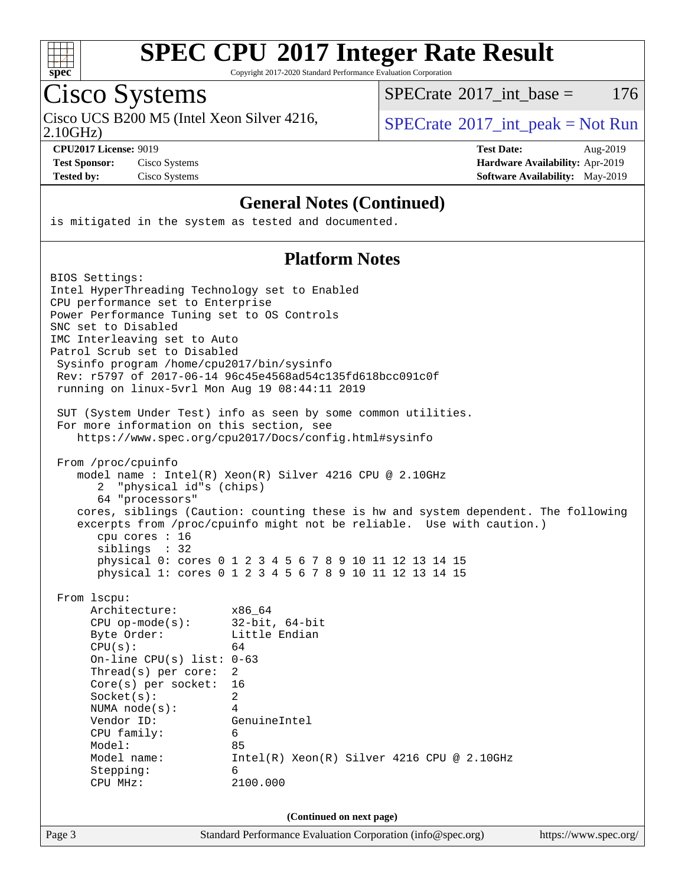

Copyright 2017-2020 Standard Performance Evaluation Corporation

# Cisco Systems

Cisco UCS B200 M5 (Intel Xeon Silver 4216,  $SPECTR = SPECrate^{\circ}2017\_int\_peak = Not Run$  $SPECTR = SPECrate^{\circ}2017\_int\_peak = Not Run$  $SPECTR = SPECrate^{\circ}2017\_int\_peak = Not Run$ 

 $SPECTate^{\circ}2017\_int\_base = 176$ 

2.10GHz)

**[CPU2017 License:](http://www.spec.org/auto/cpu2017/Docs/result-fields.html#CPU2017License)** 9019 **[Test Date:](http://www.spec.org/auto/cpu2017/Docs/result-fields.html#TestDate)** Aug-2019 **[Test Sponsor:](http://www.spec.org/auto/cpu2017/Docs/result-fields.html#TestSponsor)** Cisco Systems **[Hardware Availability:](http://www.spec.org/auto/cpu2017/Docs/result-fields.html#HardwareAvailability)** Apr-2019 **[Tested by:](http://www.spec.org/auto/cpu2017/Docs/result-fields.html#Testedby)** Cisco Systems **[Software Availability:](http://www.spec.org/auto/cpu2017/Docs/result-fields.html#SoftwareAvailability)** May-2019

#### **[General Notes \(Continued\)](http://www.spec.org/auto/cpu2017/Docs/result-fields.html#GeneralNotes)**

is mitigated in the system as tested and documented.

#### **[Platform Notes](http://www.spec.org/auto/cpu2017/Docs/result-fields.html#PlatformNotes)**

| BIOS Settings:                                 |                                                                                                                    |                       |
|------------------------------------------------|--------------------------------------------------------------------------------------------------------------------|-----------------------|
| Intel HyperThreading Technology set to Enabled |                                                                                                                    |                       |
| CPU performance set to Enterprise              |                                                                                                                    |                       |
| Power Performance Tuning set to OS Controls    |                                                                                                                    |                       |
| SNC set to Disabled                            |                                                                                                                    |                       |
| IMC Interleaving set to Auto                   |                                                                                                                    |                       |
| Patrol Scrub set to Disabled                   |                                                                                                                    |                       |
| Sysinfo program /home/cpu2017/bin/sysinfo      |                                                                                                                    |                       |
|                                                | Rev: r5797 of 2017-06-14 96c45e4568ad54c135fd618bcc091c0f                                                          |                       |
| running on linux-5vrl Mon Aug 19 08:44:11 2019 |                                                                                                                    |                       |
|                                                | SUT (System Under Test) info as seen by some common utilities.                                                     |                       |
| For more information on this section, see      |                                                                                                                    |                       |
|                                                | https://www.spec.org/cpu2017/Docs/config.html#sysinfo                                                              |                       |
|                                                |                                                                                                                    |                       |
| From /proc/cpuinfo                             |                                                                                                                    |                       |
|                                                | model name: $Intel(R)$ Xeon(R) Silver 4216 CPU @ 2.10GHz                                                           |                       |
| "physical id"s (chips)<br>2                    |                                                                                                                    |                       |
| 64 "processors"                                |                                                                                                                    |                       |
|                                                | cores, siblings (Caution: counting these is hw and system dependent. The following                                 |                       |
|                                                | excerpts from /proc/cpuinfo might not be reliable. Use with caution.)                                              |                       |
| cpu cores $: 16$                               |                                                                                                                    |                       |
| siblings : 32                                  |                                                                                                                    |                       |
|                                                | physical 0: cores 0 1 2 3 4 5 6 7 8 9 10 11 12 13 14 15<br>physical 1: cores 0 1 2 3 4 5 6 7 8 9 10 11 12 13 14 15 |                       |
|                                                |                                                                                                                    |                       |
| From 1scpu:                                    |                                                                                                                    |                       |
| Architecture:                                  | x86 64                                                                                                             |                       |
| $CPU$ op-mode(s):                              | $32$ -bit, $64$ -bit                                                                                               |                       |
| Byte Order:                                    | Little Endian                                                                                                      |                       |
| CPU(s):                                        | 64                                                                                                                 |                       |
| On-line CPU(s) list: $0-63$                    |                                                                                                                    |                       |
| $Thread(s)$ per core:                          | 2                                                                                                                  |                       |
| Core(s) per socket:                            | 16                                                                                                                 |                       |
| Socket(s):                                     | $\overline{2}$                                                                                                     |                       |
| NUMA $node(s):$                                | 4                                                                                                                  |                       |
| Vendor ID:                                     | GenuineIntel                                                                                                       |                       |
| CPU family:                                    | 6                                                                                                                  |                       |
| Model:                                         | 85                                                                                                                 |                       |
| Model name:                                    | $Intel(R) Xeon(R) Silver 4216 CPU @ 2.10GHz$                                                                       |                       |
| Stepping:                                      | 6                                                                                                                  |                       |
| CPU MHz:                                       | 2100.000                                                                                                           |                       |
|                                                | (Continued on next page)                                                                                           |                       |
|                                                |                                                                                                                    |                       |
| Page 3                                         | Standard Performance Evaluation Corporation (info@spec.org)                                                        | https://www.spec.org/ |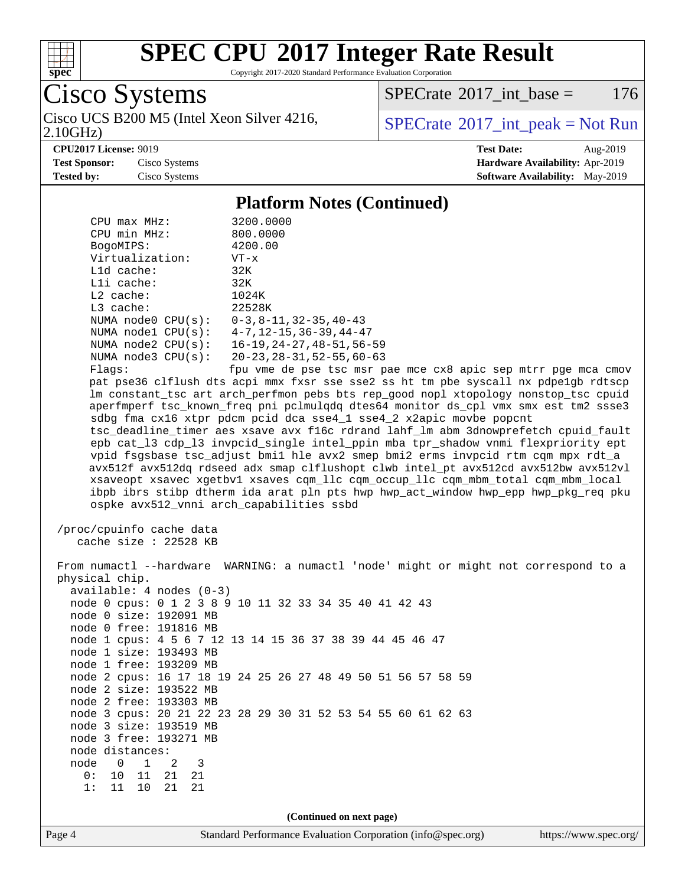

Copyright 2017-2020 Standard Performance Evaluation Corporation

Cisco Systems

Cisco UCS B200 M5 (Intel Xeon Silver 4216,  $SPECTate^{\circ}2017$  int peak = Not Run

[SPECrate](http://www.spec.org/auto/cpu2017/Docs/result-fields.html#SPECrate2017intbase)<sup>®</sup>2017 int base = 176

2.10GHz)

**[CPU2017 License:](http://www.spec.org/auto/cpu2017/Docs/result-fields.html#CPU2017License)** 9019 **[Test Date:](http://www.spec.org/auto/cpu2017/Docs/result-fields.html#TestDate)** Aug-2019 **[Test Sponsor:](http://www.spec.org/auto/cpu2017/Docs/result-fields.html#TestSponsor)** Cisco Systems **[Hardware Availability:](http://www.spec.org/auto/cpu2017/Docs/result-fields.html#HardwareAvailability)** Apr-2019 **[Tested by:](http://www.spec.org/auto/cpu2017/Docs/result-fields.html#Testedby)** Cisco Systems **[Software Availability:](http://www.spec.org/auto/cpu2017/Docs/result-fields.html#SoftwareAvailability)** May-2019

#### **[Platform Notes \(Continued\)](http://www.spec.org/auto/cpu2017/Docs/result-fields.html#PlatformNotes)**

| $CPIJ$ max $MHz$ :                        | 3200.0000                                     |
|-------------------------------------------|-----------------------------------------------|
| CPU min MHz:                              | 800.0000                                      |
| BogoMIPS:                                 | 4200.00                                       |
| Virtualization:                           | $VT - x$                                      |
| $L1d$ cache:                              | 32K                                           |
| $L1i$ cache:                              | 32K                                           |
| $L2$ cache:                               | 1024K                                         |
| $L3$ cache:                               | 22528K                                        |
| NUMA $node0$ $CPU(s)$ :                   | $0-3, 8-11, 32-35, 40-43$                     |
| NUMA node1 CPU(s):                        | $4 - 7$ , $12 - 15$ , $36 - 39$ , $44 - 47$   |
| NUMA $node2$ $CPU(s):$                    | $16 - 19, 24 - 27, 48 - 51, 56 - 59$          |
| NUMA $node3$ $CPU(s)$ :                   | $20 - 23$ , $28 - 31$ , $52 - 55$ , $60 - 63$ |
| $\Box$ $\Box$ $\Box$ $\Box$ $\Box$ $\Box$ | £  Ja  Las                                    |

Flags: fpu vme de pse tsc msr pae mce cx8 apic sep mtrr pge mca cmov pat pse36 clflush dts acpi mmx fxsr sse sse2 ss ht tm pbe syscall nx pdpe1gb rdtscp lm constant\_tsc art arch\_perfmon pebs bts rep\_good nopl xtopology nonstop\_tsc cpuid aperfmperf tsc\_known\_freq pni pclmulqdq dtes64 monitor ds\_cpl vmx smx est tm2 ssse3 sdbg fma cx16 xtpr pdcm pcid dca sse4\_1 sse4\_2 x2apic movbe popcnt tsc\_deadline\_timer aes xsave avx f16c rdrand lahf\_lm abm 3dnowprefetch cpuid\_fault epb cat\_l3 cdp\_l3 invpcid\_single intel\_ppin mba tpr\_shadow vnmi flexpriority ept vpid fsgsbase tsc\_adjust bmi1 hle avx2 smep bmi2 erms invpcid rtm cqm mpx rdt\_a avx512f avx512dq rdseed adx smap clflushopt clwb intel\_pt avx512cd avx512bw avx512vl xsaveopt xsavec xgetbv1 xsaves cqm\_llc cqm\_occup\_llc cqm\_mbm\_total cqm\_mbm\_local ibpb ibrs stibp dtherm ida arat pln pts hwp hwp\_act\_window hwp\_epp hwp\_pkg\_req pku ospke avx512\_vnni arch\_capabilities ssbd

 /proc/cpuinfo cache data cache size : 22528 KB

 From numactl --hardware WARNING: a numactl 'node' might or might not correspond to a physical chip. available: 4 nodes (0-3) node 0 cpus: 0 1 2 3 8 9 10 11 32 33 34 35 40 41 42 43 node 0 size: 192091 MB node 0 free: 191816 MB node 1 cpus: 4 5 6 7 12 13 14 15 36 37 38 39 44 45 46 47 node 1 size: 193493 MB node 1 free: 193209 MB node 2 cpus: 16 17 18 19 24 25 26 27 48 49 50 51 56 57 58 59 node 2 size: 193522 MB node 2 free: 193303 MB node 3 cpus: 20 21 22 23 28 29 30 31 52 53 54 55 60 61 62 63 node 3 size: 193519 MB node 3 free: 193271 MB node distances:<br>node 0 1 node 0 1 2 3 0: 10 11 21 21 1: 11 10 21 21 **(Continued on next page)**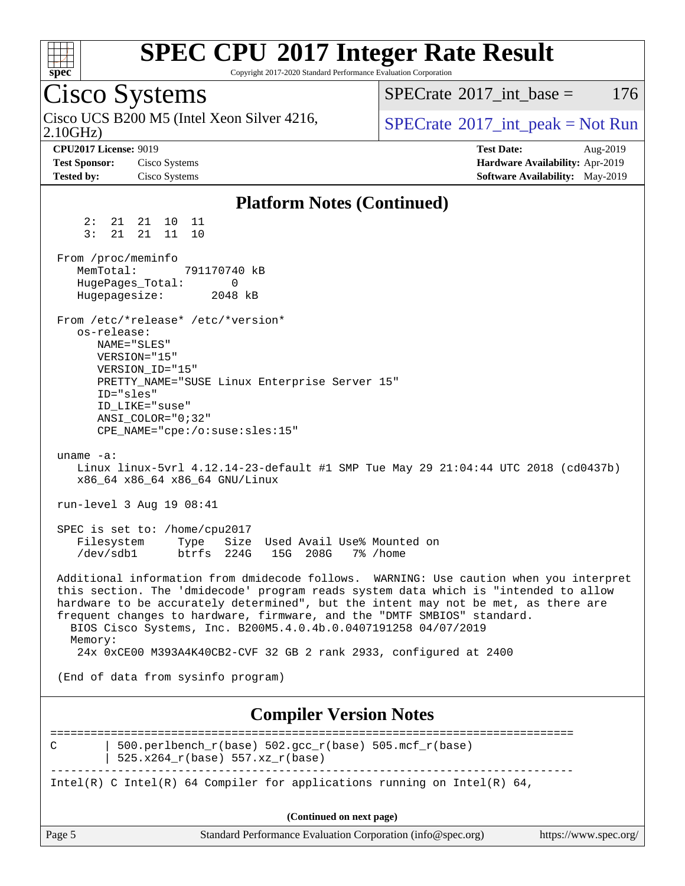

Copyright 2017-2020 Standard Performance Evaluation Corporation

Cisco Systems 2.10GHz) Cisco UCS B200 M5 (Intel Xeon Silver 4216,  $SPECrate^{\circ}2017\_int\_peak = Not Run$  $SPECrate^{\circ}2017\_int\_peak = Not Run$  $SPECTate^{\circ}2017$  int base = 176 **[CPU2017 License:](http://www.spec.org/auto/cpu2017/Docs/result-fields.html#CPU2017License)** 9019 **[Test Date:](http://www.spec.org/auto/cpu2017/Docs/result-fields.html#TestDate)** Aug-2019 **[Test Sponsor:](http://www.spec.org/auto/cpu2017/Docs/result-fields.html#TestSponsor)** Cisco Systems **[Hardware Availability:](http://www.spec.org/auto/cpu2017/Docs/result-fields.html#HardwareAvailability)** Apr-2019 **[Tested by:](http://www.spec.org/auto/cpu2017/Docs/result-fields.html#Testedby)** Cisco Systems **[Software Availability:](http://www.spec.org/auto/cpu2017/Docs/result-fields.html#SoftwareAvailability)** May-2019 **[Platform Notes \(Continued\)](http://www.spec.org/auto/cpu2017/Docs/result-fields.html#PlatformNotes)** 2: 21 21 10 11 3: 21 21 11 10 From /proc/meminfo<br>MemTotal: 791170740 kB MemTotal: HugePages\_Total: 0 Hugepagesize: 2048 kB From /etc/\*release\* /etc/\*version\* os-release: NAME="SLES" VERSION="15" VERSION\_ID="15" PRETTY\_NAME="SUSE Linux Enterprise Server 15" ID="sles" ID\_LIKE="suse" ANSI\_COLOR="0;32" CPE\_NAME="cpe:/o:suse:sles:15" uname -a: Linux linux-5vrl 4.12.14-23-default #1 SMP Tue May 29 21:04:44 UTC 2018 (cd0437b) x86\_64 x86\_64 x86\_64 GNU/Linux run-level 3 Aug 19 08:41 SPEC is set to: /home/cpu2017 Filesystem Type Size Used Avail Use% Mounted on /dev/sdb1 btrfs 224G 15G 208G 7% /home Additional information from dmidecode follows. WARNING: Use caution when you interpret this section. The 'dmidecode' program reads system data which is "intended to allow hardware to be accurately determined", but the intent may not be met, as there are frequent changes to hardware, firmware, and the "DMTF SMBIOS" standard. BIOS Cisco Systems, Inc. B200M5.4.0.4b.0.0407191258 04/07/2019 Memory: 24x 0xCE00 M393A4K40CB2-CVF 32 GB 2 rank 2933, configured at 2400 (End of data from sysinfo program) **[Compiler Version Notes](http://www.spec.org/auto/cpu2017/Docs/result-fields.html#CompilerVersionNotes)** ==============================================================================

C | 500.perlbench r(base) 502.gcc r(base) 505.mcf r(base) | 525.x264\_r(base) 557.xz\_r(base) ------------------------------------------------------------------------------

Intel(R) C Intel(R) 64 Compiler for applications running on Intel(R)  $64$ ,

**(Continued on next page)**

| Page 5<br>Standard Performance Evaluation Corporation (info@spec.org)<br>https://www.spec.org/ $\,$ |  |  |
|-----------------------------------------------------------------------------------------------------|--|--|
|-----------------------------------------------------------------------------------------------------|--|--|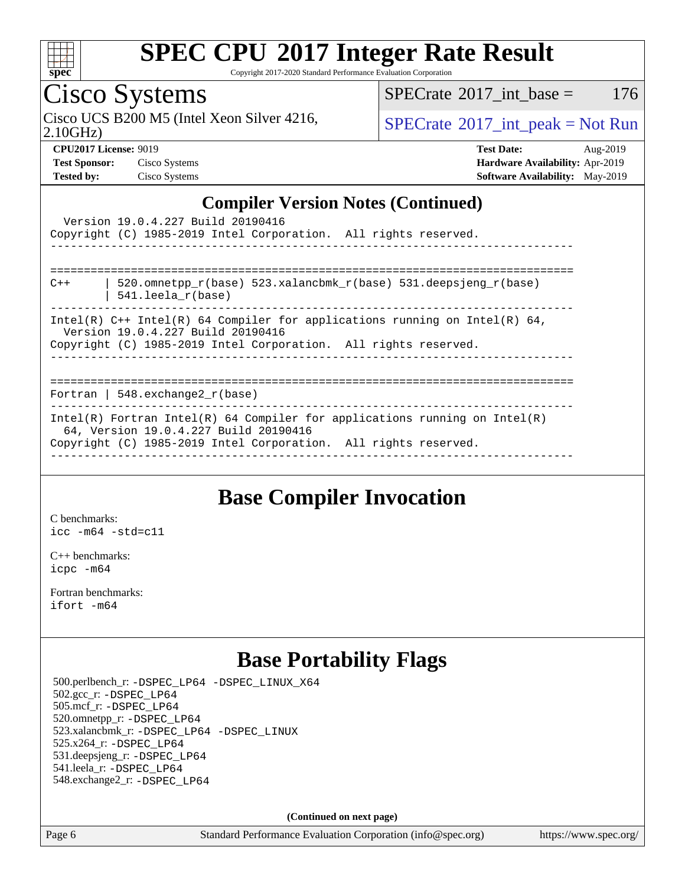

Copyright 2017-2020 Standard Performance Evaluation Corporation

### Cisco Systems

Cisco UCS B200 M5 (Intel Xeon Silver 4216,  $SPECTR = SPECrate^{\circ}2017\_int\_peak = Not Run$  $SPECTR = SPECrate^{\circ}2017\_int\_peak = Not Run$  $SPECTR = SPECrate^{\circ}2017\_int\_peak = Not Run$ 

 $SPECTate@2017_int\_base = 176$ 

2.10GHz)

**[Test Sponsor:](http://www.spec.org/auto/cpu2017/Docs/result-fields.html#TestSponsor)** Cisco Systems **[Hardware Availability:](http://www.spec.org/auto/cpu2017/Docs/result-fields.html#HardwareAvailability)** Apr-2019 **[Tested by:](http://www.spec.org/auto/cpu2017/Docs/result-fields.html#Testedby)** Cisco Systems **[Software Availability:](http://www.spec.org/auto/cpu2017/Docs/result-fields.html#SoftwareAvailability)** May-2019

**[CPU2017 License:](http://www.spec.org/auto/cpu2017/Docs/result-fields.html#CPU2017License)** 9019 **[Test Date:](http://www.spec.org/auto/cpu2017/Docs/result-fields.html#TestDate)** Aug-2019

### **[Compiler Version Notes \(Continued\)](http://www.spec.org/auto/cpu2017/Docs/result-fields.html#CompilerVersionNotes)**

| Version 19.0.4.227 Build 20190416<br>Copyright (C) 1985-2019 Intel Corporation. All rights reserved.                                                                                   |
|----------------------------------------------------------------------------------------------------------------------------------------------------------------------------------------|
| ==================================                                                                                                                                                     |
| 520.omnetpp $r(base)$ 523.xalancbmk $r(base)$ 531.deepsjeng $r(base)$<br>$C++$<br>$541.$ leela r(base)                                                                                 |
| Intel(R) $C++$ Intel(R) 64 Compiler for applications running on Intel(R) 64,<br>Version 19.0.4.227 Build 20190416<br>Copyright (C) 1985-2019 Intel Corporation. All rights reserved.   |
|                                                                                                                                                                                        |
| Fortran   548.exchange2 $r(base)$                                                                                                                                                      |
| Intel(R) Fortran Intel(R) 64 Compiler for applications running on Intel(R)<br>64, Version 19.0.4.227 Build 20190416<br>Copyright (C) 1985-2019 Intel Corporation. All rights reserved. |

### **[Base Compiler Invocation](http://www.spec.org/auto/cpu2017/Docs/result-fields.html#BaseCompilerInvocation)**

[C benchmarks](http://www.spec.org/auto/cpu2017/Docs/result-fields.html#Cbenchmarks): [icc -m64 -std=c11](http://www.spec.org/cpu2017/results/res2019q3/cpu2017-20190820-17207.flags.html#user_CCbase_intel_icc_64bit_c11_33ee0cdaae7deeeab2a9725423ba97205ce30f63b9926c2519791662299b76a0318f32ddfffdc46587804de3178b4f9328c46fa7c2b0cd779d7a61945c91cd35)

[C++ benchmarks:](http://www.spec.org/auto/cpu2017/Docs/result-fields.html#CXXbenchmarks) [icpc -m64](http://www.spec.org/cpu2017/results/res2019q3/cpu2017-20190820-17207.flags.html#user_CXXbase_intel_icpc_64bit_4ecb2543ae3f1412ef961e0650ca070fec7b7afdcd6ed48761b84423119d1bf6bdf5cad15b44d48e7256388bc77273b966e5eb805aefd121eb22e9299b2ec9d9)

[Fortran benchmarks](http://www.spec.org/auto/cpu2017/Docs/result-fields.html#Fortranbenchmarks): [ifort -m64](http://www.spec.org/cpu2017/results/res2019q3/cpu2017-20190820-17207.flags.html#user_FCbase_intel_ifort_64bit_24f2bb282fbaeffd6157abe4f878425411749daecae9a33200eee2bee2fe76f3b89351d69a8130dd5949958ce389cf37ff59a95e7a40d588e8d3a57e0c3fd751)

### **[Base Portability Flags](http://www.spec.org/auto/cpu2017/Docs/result-fields.html#BasePortabilityFlags)**

 500.perlbench\_r: [-DSPEC\\_LP64](http://www.spec.org/cpu2017/results/res2019q3/cpu2017-20190820-17207.flags.html#b500.perlbench_r_basePORTABILITY_DSPEC_LP64) [-DSPEC\\_LINUX\\_X64](http://www.spec.org/cpu2017/results/res2019q3/cpu2017-20190820-17207.flags.html#b500.perlbench_r_baseCPORTABILITY_DSPEC_LINUX_X64) 502.gcc\_r: [-DSPEC\\_LP64](http://www.spec.org/cpu2017/results/res2019q3/cpu2017-20190820-17207.flags.html#suite_basePORTABILITY502_gcc_r_DSPEC_LP64) 505.mcf\_r: [-DSPEC\\_LP64](http://www.spec.org/cpu2017/results/res2019q3/cpu2017-20190820-17207.flags.html#suite_basePORTABILITY505_mcf_r_DSPEC_LP64) 520.omnetpp\_r: [-DSPEC\\_LP64](http://www.spec.org/cpu2017/results/res2019q3/cpu2017-20190820-17207.flags.html#suite_basePORTABILITY520_omnetpp_r_DSPEC_LP64) 523.xalancbmk\_r: [-DSPEC\\_LP64](http://www.spec.org/cpu2017/results/res2019q3/cpu2017-20190820-17207.flags.html#suite_basePORTABILITY523_xalancbmk_r_DSPEC_LP64) [-DSPEC\\_LINUX](http://www.spec.org/cpu2017/results/res2019q3/cpu2017-20190820-17207.flags.html#b523.xalancbmk_r_baseCXXPORTABILITY_DSPEC_LINUX) 525.x264\_r: [-DSPEC\\_LP64](http://www.spec.org/cpu2017/results/res2019q3/cpu2017-20190820-17207.flags.html#suite_basePORTABILITY525_x264_r_DSPEC_LP64) 531.deepsjeng\_r: [-DSPEC\\_LP64](http://www.spec.org/cpu2017/results/res2019q3/cpu2017-20190820-17207.flags.html#suite_basePORTABILITY531_deepsjeng_r_DSPEC_LP64) 541.leela\_r: [-DSPEC\\_LP64](http://www.spec.org/cpu2017/results/res2019q3/cpu2017-20190820-17207.flags.html#suite_basePORTABILITY541_leela_r_DSPEC_LP64) 548.exchange2\_r: [-DSPEC\\_LP64](http://www.spec.org/cpu2017/results/res2019q3/cpu2017-20190820-17207.flags.html#suite_basePORTABILITY548_exchange2_r_DSPEC_LP64)

**(Continued on next page)**

Page 6 Standard Performance Evaluation Corporation [\(info@spec.org\)](mailto:info@spec.org) <https://www.spec.org/>